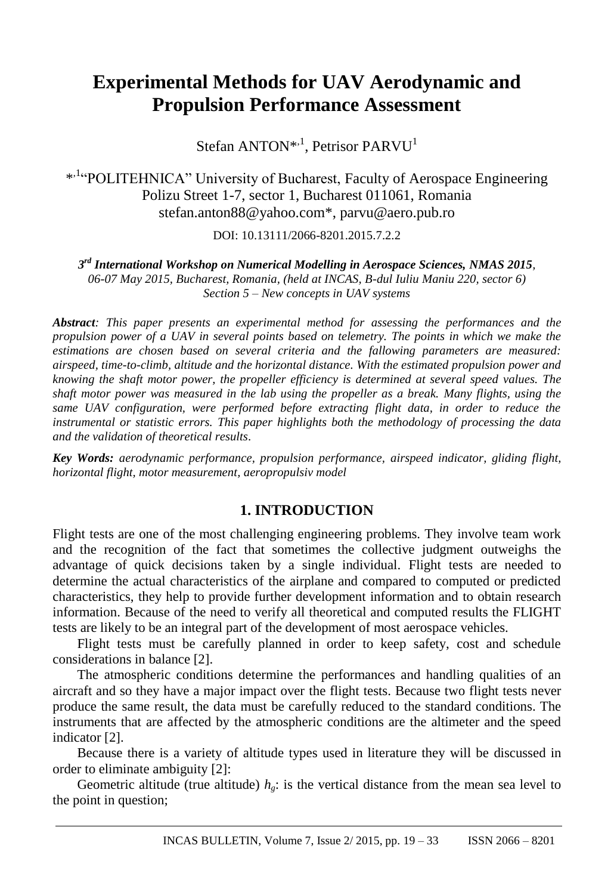# **Experimental Methods for UAV Aerodynamic and Propulsion Performance Assessment**

Stefan ANTON<sup>\*,1</sup>, Petrisor PARVU<sup>1</sup>

\* ,1"POLITEHNICA" University of Bucharest, Faculty of Aerospace Engineering Polizu Street 1-7, sector 1, Bucharest 011061, Romania stefan.anton88@yahoo.com\*, parvu@aero.pub.ro

DOI: 10.13111/2066-8201.2015.7.2.2.

*3 rd International Workshop on Numerical Modelling in Aerospace Sciences, NMAS 2015, 06-07 May 2015, Bucharest, Romania, (held at INCAS, B-dul Iuliu Maniu 220, sector 6) Section 5 – New concepts in UAV systems*

*Abstract: This paper presents an experimental method for assessing the performances and the propulsion power of a UAV in several points based on telemetry. The points in which we make the estimations are chosen based on several criteria and the fallowing parameters are measured: airspeed, time-to-climb, altitude and the horizontal distance. With the estimated propulsion power and knowing the shaft motor power, the propeller efficiency is determined at several speed values. The shaft motor power was measured in the lab using the propeller as a break. Many flights, using the same UAV configuration, were performed before extracting flight data, in order to reduce the instrumental or statistic errors. This paper highlights both the methodology of processing the data and the validation of theoretical results*.

*Key Words: aerodynamic performance, propulsion performance, airspeed indicator, gliding flight, horizontal flight, motor measurement, aeropropulsiv model*

### **1. INTRODUCTION**

Flight tests are one of the most challenging engineering problems. They involve team work and the recognition of the fact that sometimes the collective judgment outweighs the advantage of quick decisions taken by a single individual. Flight tests are needed to determine the actual characteristics of the airplane and compared to computed or predicted characteristics, they help to provide further development information and to obtain research information. Because of the need to verify all theoretical and computed results the FLIGHT tests are likely to be an integral part of the development of most aerospace vehicles.

Flight tests must be carefully planned in order to keep safety, cost and schedule considerations in balance [2].

The atmospheric conditions determine the performances and handling qualities of an aircraft and so they have a major impact over the flight tests. Because two flight tests never produce the same result, the data must be carefully reduced to the standard conditions. The instruments that are affected by the atmospheric conditions are the altimeter and the speed indicator [2].

Because there is a variety of altitude types used in literature they will be discussed in order to eliminate ambiguity [2]:

Geometric altitude (true altitude)  $h_g$ : is the vertical distance from the mean sea level to the point in question;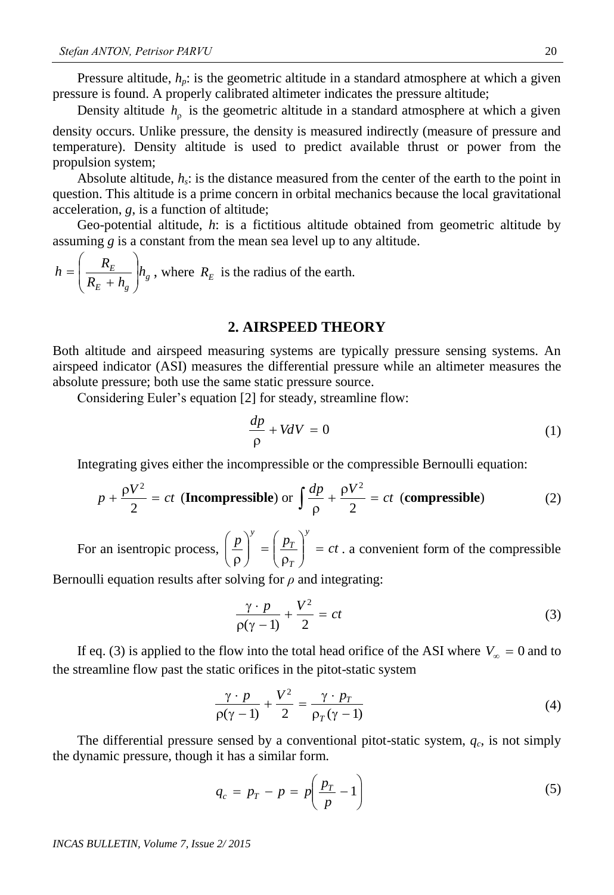Pressure altitude,  $h_p$ : is the geometric altitude in a standard atmosphere at which a given pressure is found. A properly calibrated altimeter indicates the pressure altitude;

Density altitude  $h_{\rho}$  is the geometric altitude in a standard atmosphere at which a given density occurs. Unlike pressure, the density is measured indirectly (measure of pressure and temperature). Density altitude is used to predict available thrust or power from the propulsion system;

Absolute altitude,  $h_s$ : is the distance measured from the center of the earth to the point in question. This altitude is a prime concern in orbital mechanics because the local gravitational acceleration, *g*, is a function of altitude;

Geo-potential altitude, *h*: is a fictitious altitude obtained from geometric altitude by assuming *g* is a constant from the mean sea level up to any altitude.

*g*  $E \perp \mu_g$  $\frac{E}{I}$   $h$  $R_E + h$  $h = \left(\frac{R_E}{R_E + h}\right)$  $\overline{\phantom{a}}$  $\bigg)$  $\backslash$ l L  $\setminus$ ſ  $^{+}$  $=\frac{R_E}{R_E+R}$   $\left| h_g \right|$ , where  $R_E$  is the radius of the earth.

#### **2. AIRSPEED THEORY**

Both altitude and airspeed measuring systems are typically pressure sensing systems. An airspeed indicator (ASI) measures the differential pressure while an altimeter measures the absolute pressure; both use the same static pressure source.

Considering Euler's equation [2] for steady, streamline flow:

$$
\frac{dp}{\rho} + VdV = 0\tag{1}
$$

Integrating gives either the incompressible or the compressible Bernoulli equation:

$$
p + \frac{\rho V^2}{2} = ct \text{ (Incompressible) or } \int \frac{dp}{\rho} + \frac{\rho V^2}{2} = ct \text{ (compressible)}
$$
 (2)

For an isentropic process,  $\left(\frac{p}{p}\right)^y = \left(\frac{p_r}{p}\right)^y = ct$ *T T y*  $\Big\} =$  $\bigg)$  $\setminus$  $\overline{\phantom{a}}$  $\setminus$ ſ  $\int = \frac{P}{\rho}$ J  $\setminus$  $\overline{\phantom{a}}$  $\overline{\mathcal{L}}$ ſ  $\rho$ . a convenient form of the compressible

Bernoulli equation results after solving for *ρ* and integrating:

$$
\frac{\gamma \cdot p}{\rho(\gamma - 1)} + \frac{V^2}{2} = ct \tag{3}
$$

If eq. (3) is applied to the flow into the total head orifice of the ASI where  $V_{\infty} = 0$  and to the streamline flow past the static orifices in the pitot-static system

$$
\frac{\gamma \cdot p}{\rho(\gamma - 1)} + \frac{V^2}{2} = \frac{\gamma \cdot p_T}{\rho_T(\gamma - 1)}
$$
(4)

The differential pressure sensed by a conventional pitot-static system, *q<sup>c</sup>* , is not simply the dynamic pressure, though it has a similar form.

$$
q_c = p_T - p = p \left( \frac{p_T}{p} - 1 \right) \tag{5}
$$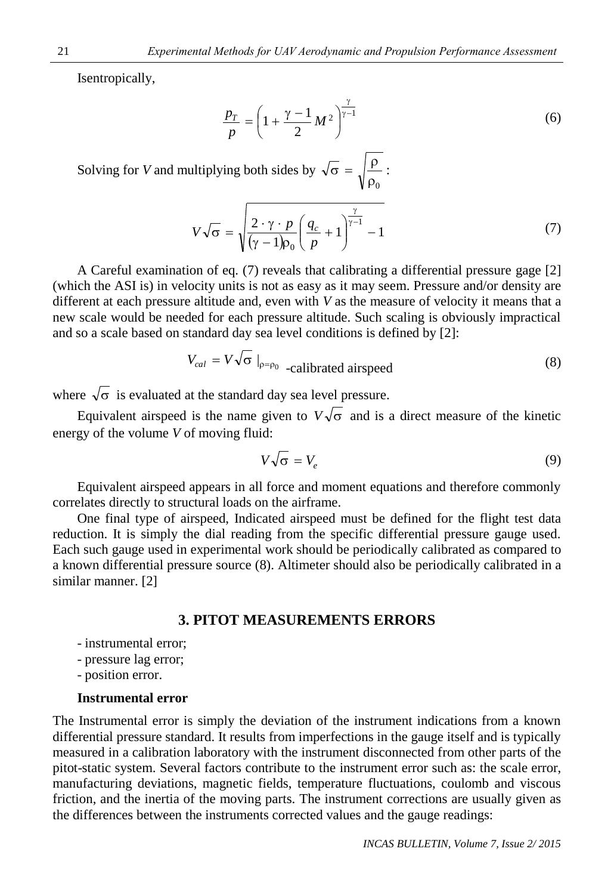Isentropically,

$$
\frac{p_T}{p} = \left(1 + \frac{\gamma - 1}{2}M^2\right)^{\frac{\gamma}{\gamma - 1}}\tag{6}
$$

Solving for *V* and multiplying both sides by  $\rho_0$  $\sigma = \sqrt{\rho}$ :

$$
V\sqrt{\sigma} = \sqrt{\frac{2 \cdot \gamma \cdot p}{(\gamma - 1)\rho_0} \left(\frac{q_c}{p} + 1\right)^{\frac{\gamma}{\gamma - 1}} - 1}
$$
 (7)

A Careful examination of eq. (7) reveals that calibrating a differential pressure gage [2] (which the ASI is) in velocity units is not as easy as it may seem. Pressure and/or density are different at each pressure altitude and, even with *V* as the measure of velocity it means that a new scale would be needed for each pressure altitude. Such scaling is obviously impractical and so a scale based on standard day sea level conditions is defined by [2]:

$$
V_{cal} = V \sqrt{\sigma} \big|_{\rho = \rho_0} - \text{calibrated airspeed}
$$
 (8)

where  $\sqrt{\sigma}$  is evaluated at the standard day sea level pressure.

Equivalent airspeed is the name given to  $V\sqrt{\sigma}$  and is a direct measure of the kinetic energy of the volume *V* of moving fluid:

$$
V\sqrt{\sigma} = V_e \tag{9}
$$

Equivalent airspeed appears in all force and moment equations and therefore commonly correlates directly to structural loads on the airframe.

One final type of airspeed, Indicated airspeed must be defined for the flight test data reduction. It is simply the dial reading from the specific differential pressure gauge used. Each such gauge used in experimental work should be periodically calibrated as compared to a known differential pressure source (8). Altimeter should also be periodically calibrated in a similar manner. [2]

### **3. PITOT MEASUREMENTS ERRORS**

- instrumental error;
- pressure lag error;
- position error.

#### **Instrumental error**

The Instrumental error is simply the deviation of the instrument indications from a known differential pressure standard. It results from imperfections in the gauge itself and is typically measured in a calibration laboratory with the instrument disconnected from other parts of the pitot-static system. Several factors contribute to the instrument error such as: the scale error, manufacturing deviations, magnetic fields, temperature fluctuations, coulomb and viscous friction, and the inertia of the moving parts. The instrument corrections are usually given as the differences between the instruments corrected values and the gauge readings: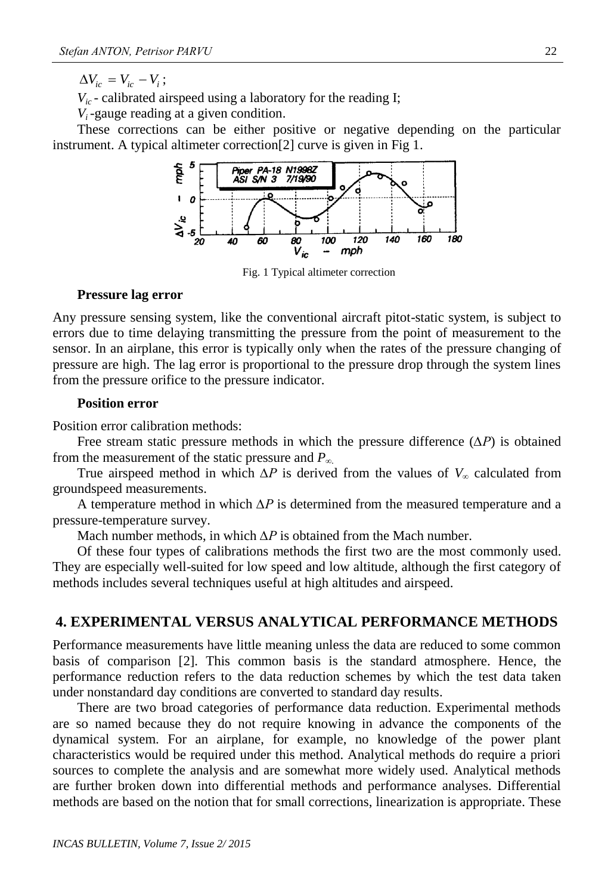$\Delta V_{ic} = V_{ic} - V_i$ ;

 $V_{ic}$  - calibrated airspeed using a laboratory for the reading I;

*Vi* -gauge reading at a given condition.

These corrections can be either positive or negative depending on the particular instrument. A typical altimeter correction[2] curve is given in Fig 1.



Fig. 1 Typical altimeter correction

#### **Pressure lag error**

Any pressure sensing system, like the conventional aircraft pitot-static system, is subject to errors due to time delaying transmitting the pressure from the point of measurement to the sensor. In an airplane, this error is typically only when the rates of the pressure changing of pressure are high. The lag error is proportional to the pressure drop through the system lines from the pressure orifice to the pressure indicator.

### **Position error**

Position error calibration methods:

Free stream static pressure methods in which the pressure difference (*∆P*) is obtained from the measurement of the static pressure and *P∞.*

True airspeed method in which  $\Delta P$  is derived from the values of  $V_\infty$  calculated from groundspeed measurements.

A temperature method in which *∆P* is determined from the measured temperature and a pressure-temperature survey.

Mach number methods, in which *∆P* is obtained from the Mach number.

Of these four types of calibrations methods the first two are the most commonly used. They are especially well-suited for low speed and low altitude, although the first category of methods includes several techniques useful at high altitudes and airspeed.

### **4. EXPERIMENTAL VERSUS ANALYTICAL PERFORMANCE METHODS**

Performance measurements have little meaning unless the data are reduced to some common basis of comparison [2]. This common basis is the standard atmosphere. Hence, the performance reduction refers to the data reduction schemes by which the test data taken under nonstandard day conditions are converted to standard day results.

There are two broad categories of performance data reduction. Experimental methods are so named because they do not require knowing in advance the components of the dynamical system. For an airplane, for example, no knowledge of the power plant characteristics would be required under this method. Analytical methods do require a priori sources to complete the analysis and are somewhat more widely used. Analytical methods are further broken down into differential methods and performance analyses. Differential methods are based on the notion that for small corrections, linearization is appropriate. These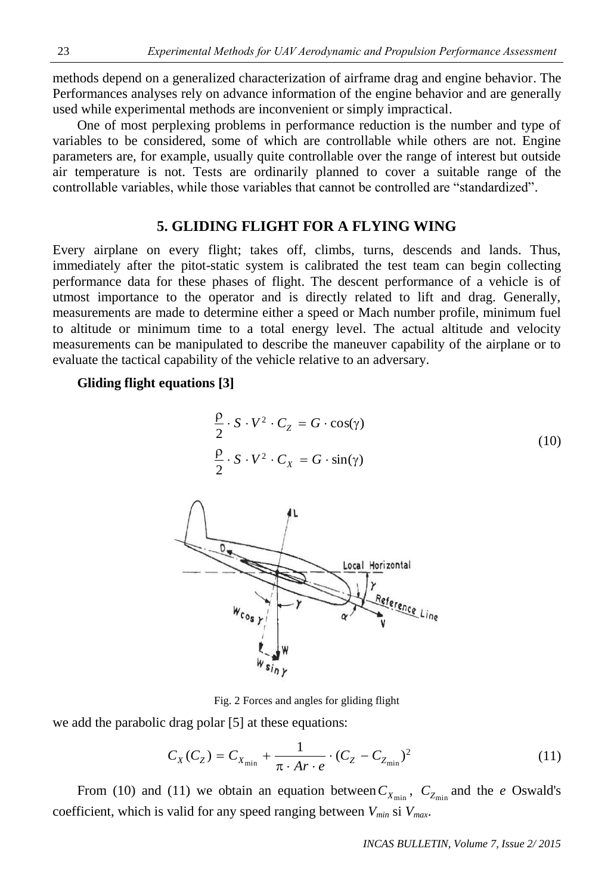methods depend on a generalized characterization of airframe drag and engine behavior. The Performances analyses rely on advance information of the engine behavior and are generally used while experimental methods are inconvenient or simply impractical.

One of most perplexing problems in performance reduction is the number and type of variables to be considered, some of which are controllable while others are not. Engine parameters are, for example, usually quite controllable over the range of interest but outside air temperature is not. Tests are ordinarily planned to cover a suitable range of the controllable variables, while those variables that cannot be controlled are "standardized".

## **5. GLIDING FLIGHT FOR A FLYING WING**

Every airplane on every flight; takes off, climbs, turns, descends and lands. Thus, immediately after the pitot-static system is calibrated the test team can begin collecting performance data for these phases of flight. The descent performance of a vehicle is of utmost importance to the operator and is directly related to lift and drag. Generally, measurements are made to determine either a speed or Mach number profile, minimum fuel to altitude or minimum time to a total energy level. The actual altitude and velocity measurements can be manipulated to describe the maneuver capability of the airplane or to evaluate the tactical capability of the vehicle relative to an adversary.

#### **Gliding flight equations [3]**

$$
\frac{\rho}{2} \cdot S \cdot V^2 \cdot C_Z = G \cdot \cos(\gamma)
$$
  

$$
\frac{\rho}{2} \cdot S \cdot V^2 \cdot C_X = G \cdot \sin(\gamma)
$$
 (10)



Fig. 2 Forces and angles for gliding flight

we add the parabolic drag polar [5] at these equations:

$$
C_X(C_Z) = C_{X_{\min}} + \frac{1}{\pi \cdot Ar \cdot e} \cdot (C_Z - C_{Z_{\min}})^2
$$
 (11)

From (10) and (11) we obtain an equation between  $C_{X_{\text{min}}}$ ,  $C_{Z_{\text{min}}}$  and the *e* Oswald's coefficient, which is valid for any speed ranging between *Vmin* si *Vmax*.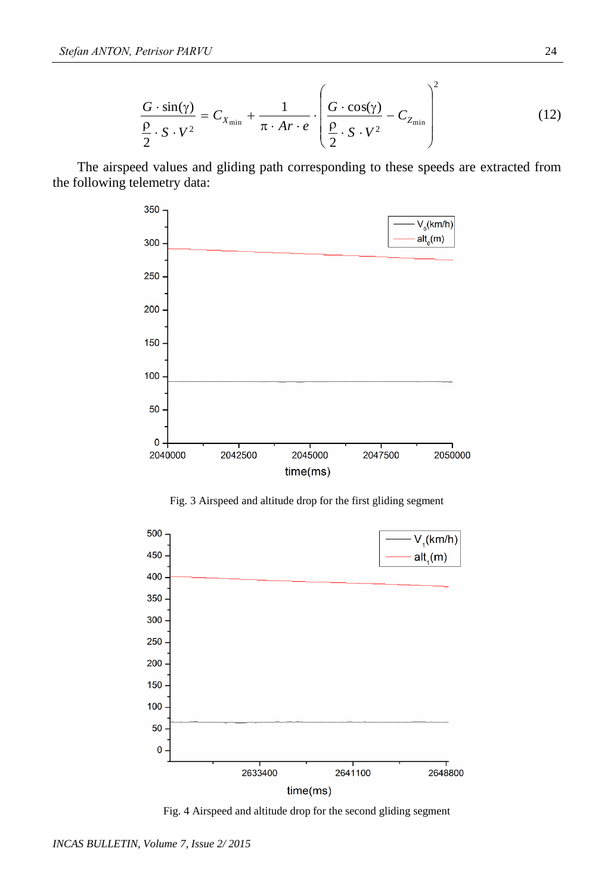$$
\frac{G \cdot \sin(\gamma)}{\frac{\rho}{2} \cdot S \cdot V^2} = C_{X_{\min}} + \frac{1}{\pi \cdot Ar \cdot e} \cdot \left(\frac{G \cdot \cos(\gamma)}{\frac{\rho}{2} \cdot S \cdot V^2} - C_{Z_{\min}}\right)^2 \tag{12}
$$

The airspeed values and gliding path corresponding to these speeds are extracted from the following telemetry data:



Fig. 3 Airspeed and altitude drop for the first gliding segment



Fig. 4 Airspeed and altitude drop for the second gliding segment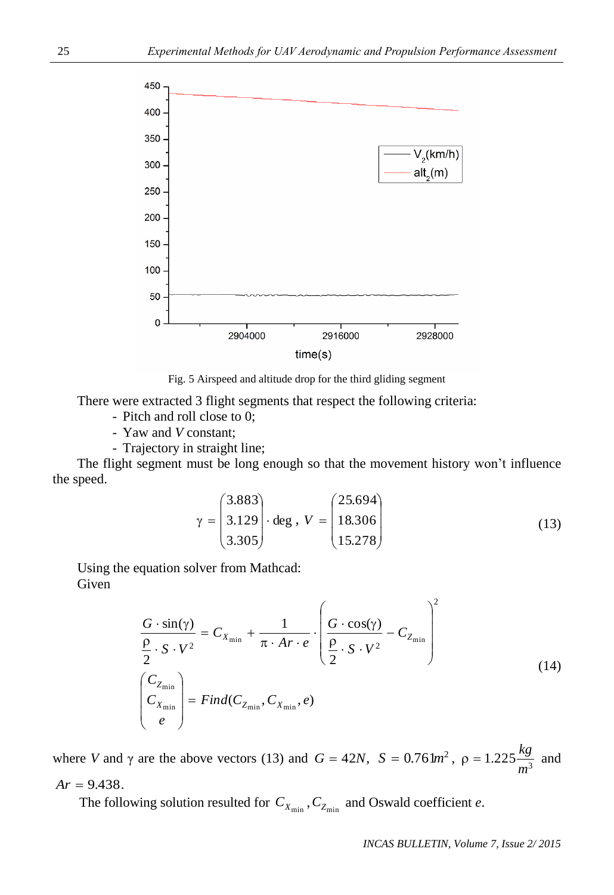

Fig. 5 Airspeed and altitude drop for the third gliding segment

There were extracted 3 flight segments that respect the following criteria:

- Pitch and roll close to 0;
- Yaw and *V* constant;
- Trajectory in straight line;

The flight segment must be long enough so that the movement history won't influence the speed.

$$
\gamma = \begin{pmatrix} 3.883 \\ 3.129 \\ 3.305 \end{pmatrix} \cdot \text{deg} \ , \ V = \begin{pmatrix} 25.694 \\ 18.306 \\ 15.278 \end{pmatrix} \tag{13}
$$

 $\sqrt{2}$ 

Using the equation solver from Mathcad: Given

$$
\frac{G \cdot \sin(\gamma)}{\frac{\rho}{2} \cdot S \cdot V^2} = C_{X_{\min}} + \frac{1}{\pi \cdot Ar \cdot e} \cdot \left( \frac{G \cdot \cos(\gamma)}{\frac{\rho}{2} \cdot S \cdot V^2} - C_{Z_{\min}} \right)^2
$$
\n
$$
\begin{pmatrix} C_{Z_{\min}} \\ C_{X_{\min}} \\ e \end{pmatrix} = Find(C_{Z_{\min}}, C_{X_{\min}}, e)
$$
\n(14)

where *V* and  $\gamma$  are the above vectors (13) and  $G = 42N$ ,  $S = 0.76 \text{ km}^2$ ,  $\rho = 1.225 \frac{\text{kg}}{\text{m}^3}$ *m*  $p = 1.225 \frac{kg}{r^2}$  and  $Ar = 9.438$ .

The following solution resulted for  $C_{X_{\text{min}}}$ ,  $C_{Z_{\text{min}}}$  and Oswald coefficient *e*.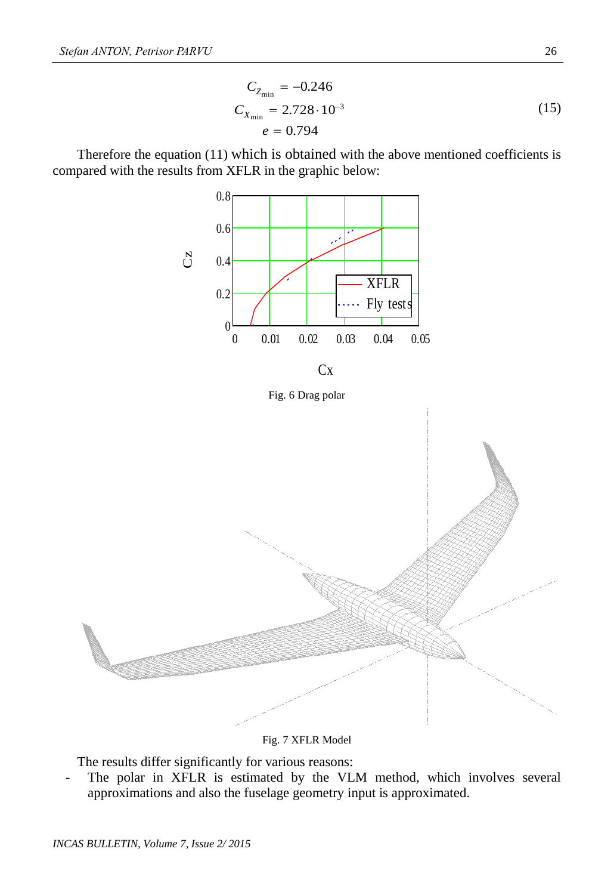$$
C_{Z_{\min}} = -0.246
$$
  
\n
$$
C_{X_{\min}} = 2.728 \cdot 10^{-3}
$$
  
\n
$$
e = 0.794
$$
\n(15)

Therefore the equation (11) which is obtained with the above mentioned coefficients is compared with the results from XFLR in the graphic below:



Fig. 7 XFLR Model

The results differ significantly for various reasons:

The polar in XFLR is estimated by the VLM method, which involves several approximations and also the fuselage geometry input is approximated.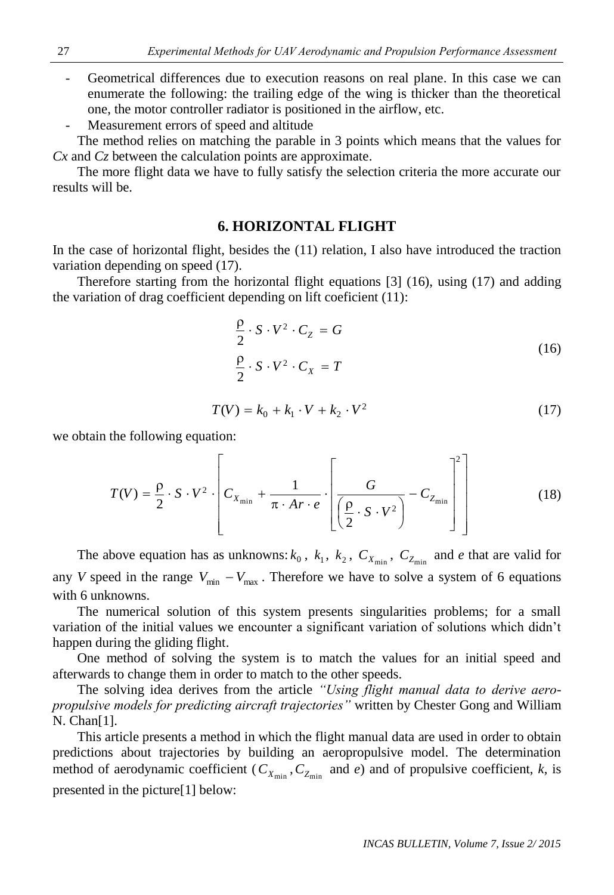Geometrical differences due to execution reasons on real plane. In this case we can enumerate the following: the trailing edge of the wing is thicker than the theoretical one, the motor controller radiator is positioned in the airflow, etc.

Measurement errors of speed and altitude

The method relies on matching the parable in 3 points which means that the values for *Cx* and *Cz* between the calculation points are approximate.

The more flight data we have to fully satisfy the selection criteria the more accurate our results will be.

### **6. HORIZONTAL FLIGHT**

In the case of horizontal flight, besides the (11) relation, I also have introduced the traction variation depending on speed (17).

Therefore starting from the horizontal flight equations [3] (16), using (17) and adding the variation of drag coefficient depending on lift coeficient (11):

$$
\frac{\rho}{2} \cdot S \cdot V^2 \cdot C_Z = G
$$
\n
$$
\frac{\rho}{2} \cdot S \cdot V^2 \cdot C_X = T
$$
\n(16)

$$
T(V) = k_0 + k_1 \cdot V + k_2 \cdot V^2 \tag{17}
$$

we obtain the following equation:

$$
T(V) = \frac{\rho}{2} \cdot S \cdot V^2 \cdot \left[ C_{X_{\min}} + \frac{1}{\pi \cdot Ar \cdot e} \cdot \left[ \frac{G}{\left( \frac{\rho}{2} \cdot S \cdot V^2 \right)} - C_{Z_{\min}} \right] \right]
$$
(18)

The above equation has as unknowns:  $k_0$ ,  $k_1$ ,  $k_2$ ,  $C_{X_{min}}$ ,  $C_{Z_{min}}$  and *e* that are valid for any *V* speed in the range  $V_{\text{min}} - V_{\text{max}}$ . Therefore we have to solve a system of 6 equations with 6 unknowns.

The numerical solution of this system presents singularities problems; for a small variation of the initial values we encounter a significant variation of solutions which didn't happen during the gliding flight.

One method of solving the system is to match the values for an initial speed and afterwards to change them in order to match to the other speeds.

The solving idea derives from the article *"Using flight manual data to derive aeropropulsive models for predicting aircraft trajectories"* written by Chester Gong and William N. Chan[1].

This article presents a method in which the flight manual data are used in order to obtain predictions about trajectories by building an aeropropulsive model. The determination method of aerodynamic coefficient ( $C_{X_{\text{min}}}$ ,  $C_{Z_{\text{min}}}$  and *e*) and of propulsive coefficient, *k*, is presented in the picture[1] below: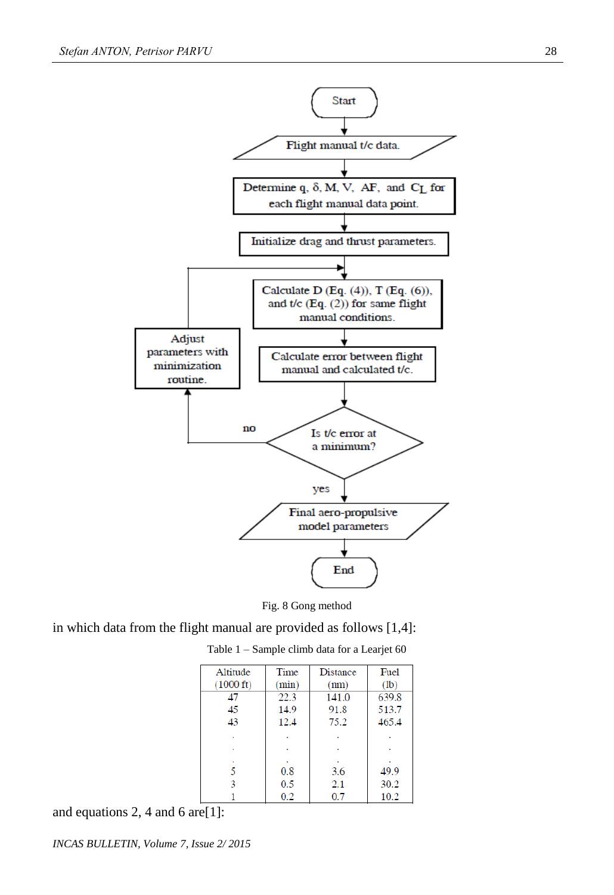



in which data from the flight manual are provided as follows [1,4]:

| Altitude            | Time  | <b>Distance</b> | Fuel  |  |
|---------------------|-------|-----------------|-------|--|
| $(1000 \text{ ft})$ | (min) | (nm)            | (1b)  |  |
| 47                  | 22.3  | 141.0           | 639.8 |  |
| 45                  | 14.9  | 91.8            | 513.7 |  |
| 43                  | 12.4  | 75.2            | 465.4 |  |
|                     |       |                 |       |  |
| ٠                   | ٠     |                 |       |  |
|                     |       |                 |       |  |
| 5                   | 0.8   | 3.6             | 49.9  |  |
| 3                   | 0.5   | 2.1             | 30.2  |  |
|                     | 0.2   | 0.7             | 10.2  |  |

Table 1 – Sample climb data for a Learjet 60

and equations 2, 4 and 6 are[1]: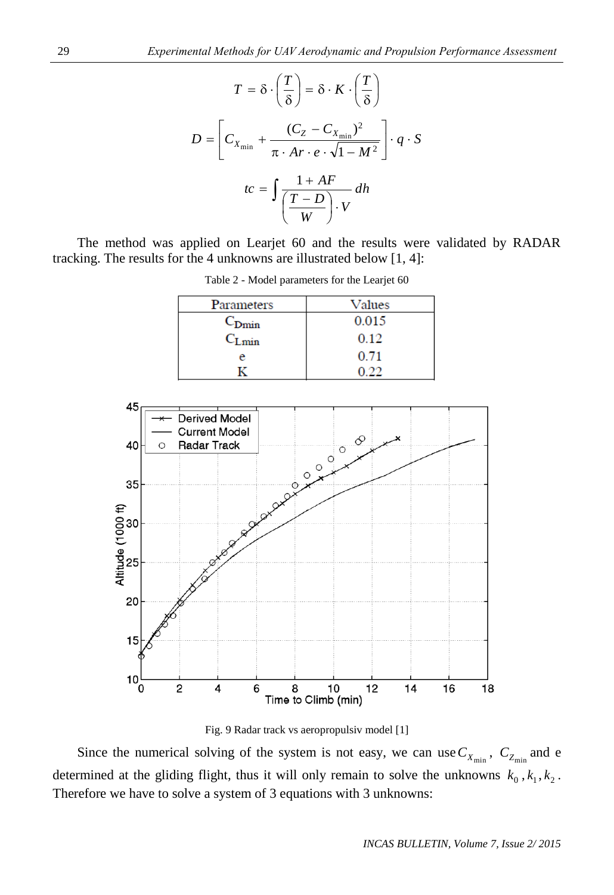$$
T = \delta \cdot \left(\frac{T}{\delta}\right) = \delta \cdot K \cdot \left(\frac{T}{\delta}\right)
$$

$$
D = \left[C_{X_{\min}} + \frac{(C_Z - C_{X_{\min}})^2}{\pi \cdot Ar \cdot e \cdot \sqrt{1 - M^2}}\right] \cdot q \cdot S
$$

$$
tc = \int \frac{1 + AF}{\left(\frac{T - D}{W}\right) \cdot V} dh
$$

The method was applied on Learjet 60 and the results were validated by RADAR tracking. The results for the 4 unknowns are illustrated below [1, 4]:

| Parameters        | Values |  |  |
|-------------------|--------|--|--|
| $C_{\text{Dmin}}$ | 0.015  |  |  |
| $C_{Lmin}$        | 0.12   |  |  |
|                   | 0.71   |  |  |
|                   |        |  |  |

Table 2 - Model parameters for the Learjet 60



Fig. 9 Radar track vs aeropropulsiv model [1]

Since the numerical solving of the system is not easy, we can use  $C_{X_{\text{min}}}$ ,  $C_{Z_{\text{min}}}$  and e determined at the gliding flight, thus it will only remain to solve the unknowns  $k_0$ ,  $k_1$ ,  $k_2$ . Therefore we have to solve a system of 3 equations with 3 unknowns: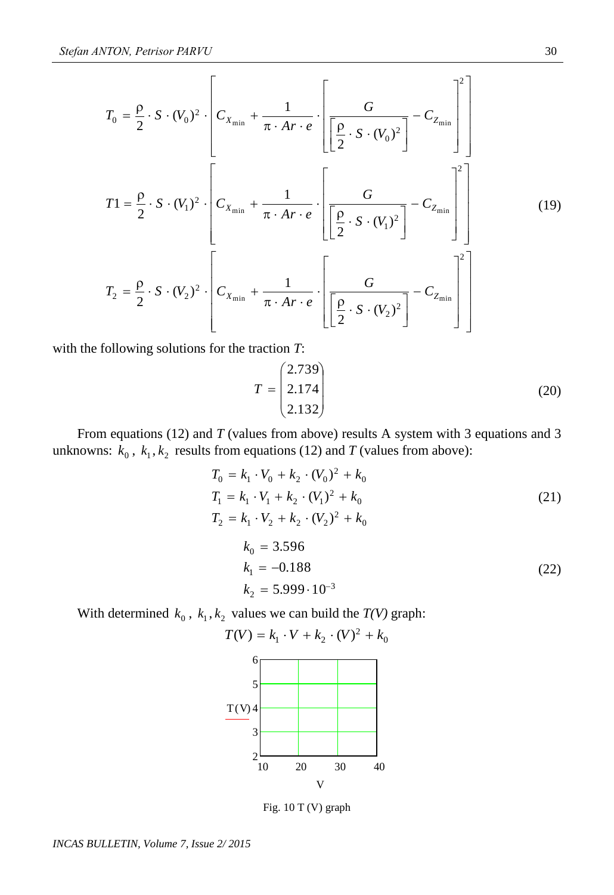$$
T_0 = \frac{\rho}{2} \cdot S \cdot (V_0)^2 \cdot \left[ C_{X_{\min}} + \frac{1}{\pi \cdot Ar \cdot e} \cdot \left[ \frac{G}{\left[ \frac{\rho}{2} \cdot S \cdot (V_0)^2 \right]} - C_{Z_{\min}} \right] \right]
$$
  
\n
$$
T_1 = \frac{\rho}{2} \cdot S \cdot (V_1)^2 \cdot \left[ C_{X_{\min}} + \frac{1}{\pi \cdot Ar \cdot e} \cdot \left[ \frac{G}{\left[ \frac{\rho}{2} \cdot S \cdot (V_1)^2 \right]} - C_{Z_{\min}} \right] \right]
$$
  
\n
$$
T_2 = \frac{\rho}{2} \cdot S \cdot (V_2)^2 \cdot \left[ C_{X_{\min}} + \frac{1}{\pi \cdot Ar \cdot e} \cdot \left[ \frac{G}{\left[ \frac{\rho}{2} \cdot S \cdot (V_2)^2 \right]} - C_{Z_{\min}} \right]^2 \right]
$$
  
\n(19)

with the following solutions for the traction *T*:

$$
T = \begin{pmatrix} 2.739 \\ 2.174 \\ 2.132 \end{pmatrix}
$$
 (20)

From equations (12) and *T* (values from above) results A system with 3 equations and 3 unknowns:  $k_0$ ,  $k_1$ ,  $k_2$  results from equations (12) and *T* (values from above):

$$
T_0 = k_1 \cdot V_0 + k_2 \cdot (V_0)^2 + k_0
$$
  
\n
$$
T_1 = k_1 \cdot V_1 + k_2 \cdot (V_1)^2 + k_0
$$
  
\n
$$
T_2 = k_1 \cdot V_2 + k_2 \cdot (V_2)^2 + k_0
$$
  
\n
$$
k_0 = 3.596
$$
  
\n
$$
k_1 = -0.188
$$
  
\n
$$
k_2 = 5.999 \cdot 10^{-3}
$$
  
\n(22)

With determined  $k_0$ ,  $k_1, k_2$  values we can build the *T(V)* graph:



Fig. 10 T (V) graph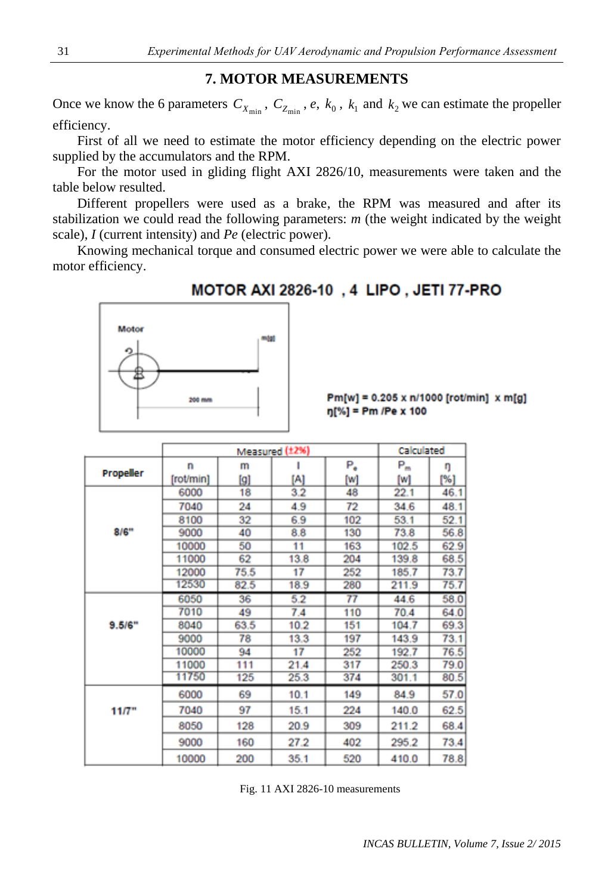### **7. MOTOR MEASUREMENTS**

Once we know the 6 parameters  $C_{X_{\text{min}}}$ ,  $C_{Z_{\text{min}}}$ , *e*,  $k_0$ ,  $k_1$  and  $k_2$  we can estimate the propeller efficiency.

First of all we need to estimate the motor efficiency depending on the electric power supplied by the accumulators and the RPM.

For the motor used in gliding flight AXI 2826/10, measurements were taken and the table below resulted.

Different propellers were used as a brake, the RPM was measured and after its stabilization we could read the following parameters: *m* (the weight indicated by the weight scale), *I* (current intensity) and *Pe* (electric power).

Knowing mechanical torque and consumed electric power we were able to calculate the motor efficiency.

## **MOTOR AXI 2826-10, 4 LIPO, JETI 77-PRO**



 $Pm[w] = 0.205 \times n/1000$  [rot/min]  $\times m[g]$  $\eta$ [%] = Pm /Pe x 100

|           |           | Calculated |      |     |       |      |
|-----------|-----------|------------|------|-----|-------|------|
| Propeller | n         | m          |      | Ρ,  | Р"    | ŋ    |
|           | [rot/min] | [9]        | [A]  | [W] | [w]   | [%]  |
| 8/6"      | 6000      | 18         | 3.2  | 48  | 22.1  | 46.1 |
|           | 7040      | 24         | 4.9  | 72  | 34.6  | 48.1 |
|           | 8100      | 32         | 6.9  | 102 | 53.1  | 52.1 |
|           | 9000      | 40         | 8.8  | 130 | 73.8  | 56.8 |
|           | 10000     | 50         | 11   | 163 | 102.5 | 62.9 |
|           | 11000     | 62         | 13.8 | 204 | 139.8 | 68.5 |
|           | 12000     | 75.5       | 17   | 252 | 185.7 | 73.7 |
|           | 12530     | 82.5       | 18.9 | 280 | 211.9 | 75.7 |
| 9.5/6"    | 6050      | 36         | 5.2  |     | 44.6  | 58.0 |
|           | 7010      | 49         | 7.4  | 110 | 70.4  | 64.0 |
|           | 8040      | 63.5       | 10.2 | 151 | 104.7 | 69.3 |
|           | 9000      | 78         | 13.3 | 197 | 143.9 | 73.1 |
|           | 10000     | 94         | 17   | 252 | 192.7 | 76.5 |
|           | 11000     | 111        | 21.4 | 317 | 250.3 | 79.0 |
|           | 11750     | 125        | 25.3 | 374 | 301.1 | 80.5 |
| 11/7"     | 6000      | 69         | 10.1 | 149 | 84.9  | 57.0 |
|           | 7040      | 97         | 15.1 | 224 | 140.0 | 62.5 |
|           | 8050      | 128        | 20.9 | 309 | 211.2 | 68.4 |
|           | 9000      | 160        | 27.2 | 402 | 295.2 | 73.4 |
|           | 10000     | 200        | 35.1 | 520 | 410.0 | 78.8 |

Fig. 11 AXI 2826-10 measurements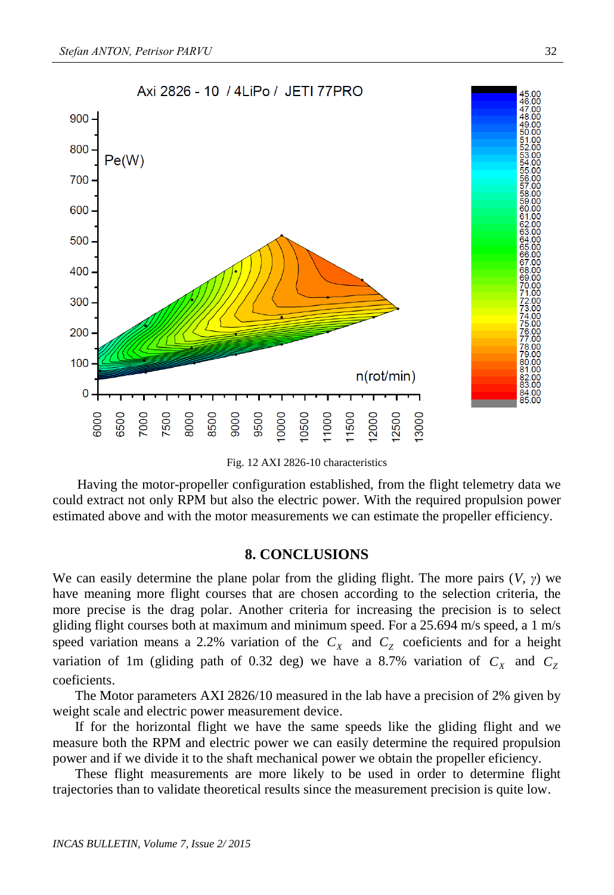

Fig. 12 AXI 2826-10 characteristics

Having the motor-propeller configuration established, from the flight telemetry data we could extract not only RPM but also the electric power. With the required propulsion power estimated above and with the motor measurements we can estimate the propeller efficiency.

#### **8. CONCLUSIONS**

We can easily determine the plane polar from the gliding flight. The more pairs (*V, γ*) we have meaning more flight courses that are chosen according to the selection criteria, the more precise is the drag polar. Another criteria for increasing the precision is to select gliding flight courses both at maximum and minimum speed. For a 25.694 m/s speed, a 1 m/s speed variation means a 2.2% variation of the  $C_X$  and  $C_Z$  coeficients and for a height variation of 1m (gliding path of 0.32 deg) we have a 8.7% variation of  $C_X$  and  $C_Z$ coeficients.

The Motor parameters AXI 2826/10 measured in the lab have a precision of 2% given by weight scale and electric power measurement device.

If for the horizontal flight we have the same speeds like the gliding flight and we measure both the RPM and electric power we can easily determine the required propulsion power and if we divide it to the shaft mechanical power we obtain the propeller eficiency.

These flight measurements are more likely to be used in order to determine flight trajectories than to validate theoretical results since the measurement precision is quite low.